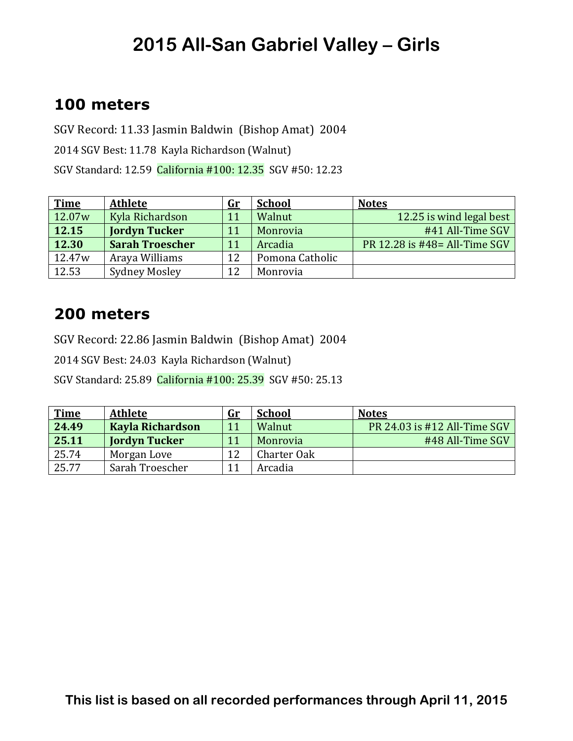### **100 meters**

SGV Record: 11.33 Jasmin Baldwin (Bishop Amat) 2004 2014 SGV Best: 11.78 Kayla Richardson (Walnut) SGV Standard: 12.59 California #100: 12.35 SGV #50: 12.23

| <b>Time</b>        | <b>Athlete</b>         | <u>Gr</u> | <b>School</b>   | <b>Notes</b>                   |
|--------------------|------------------------|-----------|-----------------|--------------------------------|
| 12.07w             | Kyla Richardson        | 11        | Walnut          | 12.25 is wind legal best       |
| 12.15              | <b>Jordyn Tucker</b>   | 11        | Monrovia        | #41 All-Time SGV               |
| 12.30              | <b>Sarah Troescher</b> | 11        | Arcadia         | PR 12.28 is #48 = All-Time SGV |
| 12.47 <sub>w</sub> | Araya Williams         | 12        | Pomona Catholic |                                |
| 12.53              | <b>Sydney Mosley</b>   | 12        | Monrovia        |                                |

#### **200 meters**

SGV Record: 22.86 Jasmin Baldwin (Bishop Amat) 2004

2014 SGV Best: 24.03 Kayla Richardson (Walnut)

SGV Standard: 25.89 California #100: 25.39 SGV #50: 25.13

| <b>Time</b> | <b>Athlete</b>          | <u>Gr</u> | <b>School</b> | <b>Notes</b>                 |
|-------------|-------------------------|-----------|---------------|------------------------------|
| 24.49       | <b>Kayla Richardson</b> |           | Walnut        | PR 24.03 is #12 All-Time SGV |
| 25.11       | <b>Jordyn Tucker</b>    | 11        | Monrovia      | #48 All-Time SGV             |
| 25.74       | Morgan Love             | 12        | Charter Oak   |                              |
| 25.77       | Sarah Troescher         |           | Arcadia       |                              |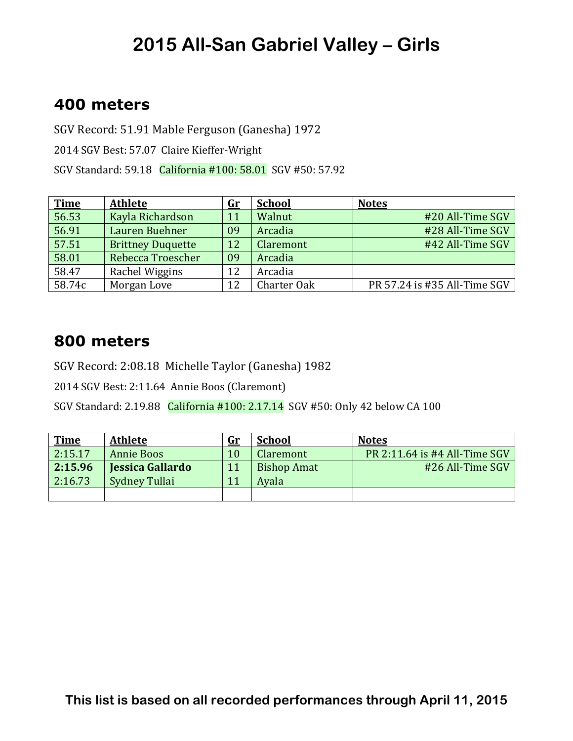### **400 meters**

SGV Record: 51.91 Mable Ferguson (Ganesha) 1972

2014 SGV Best: 57.07 Claire Kieffer-Wright

SGV Standard: 59.18 California #100: 58.01 SGV #50: 57.92

| <b>Time</b> | <b>Athlete</b>           | $\mathbf{Gr}$ | <b>School</b> | <b>Notes</b>                 |
|-------------|--------------------------|---------------|---------------|------------------------------|
| 56.53       | Kayla Richardson         | 11            | Walnut        | #20 All-Time SGV             |
| 56.91       | Lauren Buehner           | 09            | Arcadia       | #28 All-Time SGV             |
| 57.51       | <b>Brittney Duquette</b> | 12            | Claremont     | #42 All-Time SGV             |
| 58.01       | Rebecca Troescher        | 09            | Arcadia       |                              |
| 58.47       | Rachel Wiggins           | 12            | Arcadia       |                              |
| 58.74c      | Morgan Love              | 12            | Charter Oak   | PR 57.24 is #35 All-Time SGV |

#### **800 meters**

SGV Record: 2:08.18 Michelle Taylor (Ganesha) 1982

2014 SGV Best: 2:11.64 Annie Boos (Claremont)

SGV Standard: 2.19.88 California #100: 2.17.14 SGV #50: Only 42 below CA 100

| <b>Time</b> | <b>Athlete</b>          | <u>Gr</u> | <b>School</b>      | <b>Notes</b>                  |
|-------------|-------------------------|-----------|--------------------|-------------------------------|
| 2:15.17     | <b>Annie Boos</b>       | $10\,$    | Claremont          | PR 2:11.64 is #4 All-Time SGV |
| 2:15.96     | <b>Jessica Gallardo</b> | 11        | <b>Bishop Amat</b> | #26 All-Time SGV              |
| 2:16.73     | Sydney Tullai           | 11        | Avala              |                               |
|             |                         |           |                    |                               |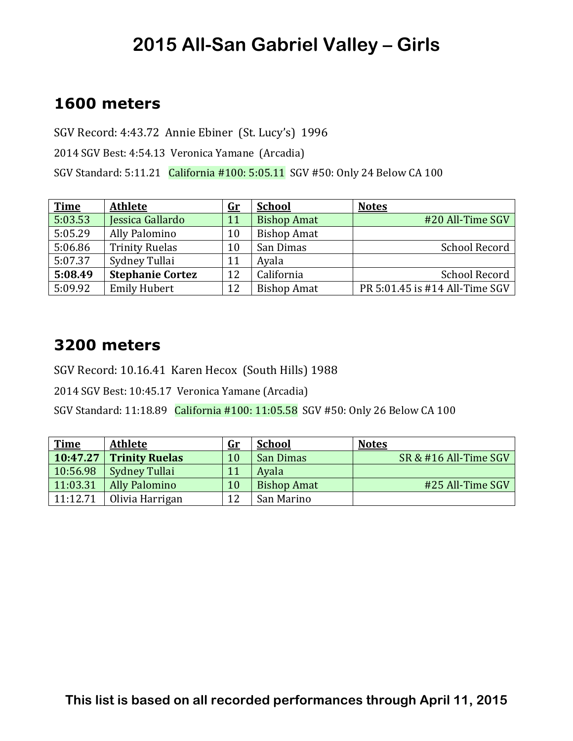#### **1600 meters**

SGV Record: 4:43.72 Annie Ebiner (St. Lucy's) 1996

2014 SGV Best: 4:54.13 Veronica Yamane (Arcadia)

SGV Standard: 5:11.21 California #100: 5:05.11 SGV #50: Only 24 Below CA 100

| <b>Time</b> | <b>Athlete</b>          | $\mathbf{G}$ r | <b>School</b>      | <b>Notes</b>                   |
|-------------|-------------------------|----------------|--------------------|--------------------------------|
| 5:03.53     | Jessica Gallardo        | 11             | <b>Bishop Amat</b> | #20 All-Time SGV               |
| 5:05.29     | Ally Palomino           | 10             | <b>Bishop Amat</b> |                                |
| 5:06.86     | <b>Trinity Ruelas</b>   | 10             | San Dimas          | School Record                  |
| 5:07.37     | Sydney Tullai           | 11             | Ayala              |                                |
| 5:08.49     | <b>Stephanie Cortez</b> | 12             | California         | <b>School Record</b>           |
| 5:09.92     | <b>Emily Hubert</b>     | 12             | <b>Bishop Amat</b> | PR 5:01.45 is #14 All-Time SGV |

#### **3200 meters**

SGV Record: 10.16.41 Karen Hecox (South Hills) 1988

2014 SGV Best: 10:45.17 Veronica Yamane (Arcadia)

SGV Standard: 11:18.89 California #100: 11:05.58 SGV #50: Only 26 Below CA 100

| <b>Time</b> | <b>Athlete</b>            | <u>Gr</u> | <b>School</b>      | <b>Notes</b>          |
|-------------|---------------------------|-----------|--------------------|-----------------------|
|             | $10:47.27$ Trinity Ruelas | 10        | San Dimas          | SR & #16 All-Time SGV |
| 10:56.98    | <b>Sydney Tullai</b>      | 11        | Avala              |                       |
| 11:03.31    | <b>Ally Palomino</b>      | 10        | <b>Bishop Amat</b> | #25 All-Time SGV      |
| 11:12.71    | Olivia Harrigan           | 12        | San Marino         |                       |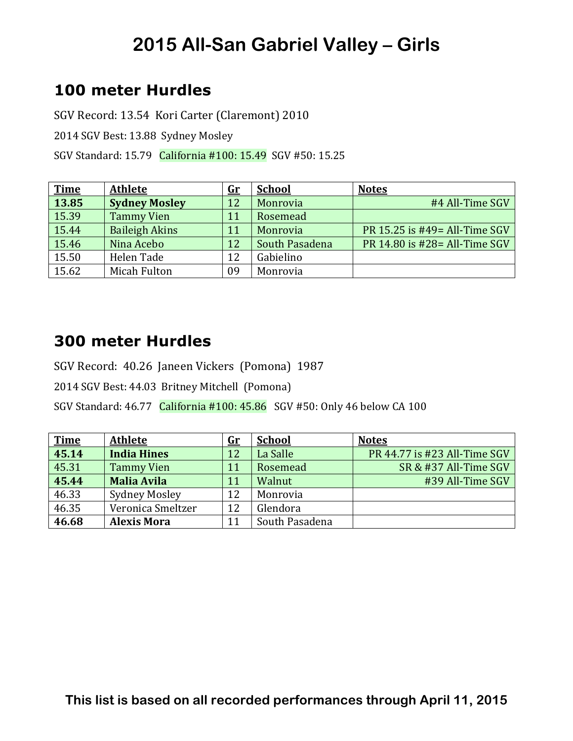## **100 meter Hurdles**

SGV Record: 13.54 Kori Carter (Claremont) 2010

2014 SGV Best: 13.88 Sydney Mosley

SGV Standard: 15.79 California #100: 15.49 SGV #50: 15.25

| <b>Time</b> | <b>Athlete</b>        | $\mathbf{G}$ r | <b>School</b>  | <b>Notes</b>                   |
|-------------|-----------------------|----------------|----------------|--------------------------------|
| 13.85       | <b>Sydney Mosley</b>  | 12             | Monrovia       | #4 All-Time SGV                |
| 15.39       | <b>Tammy Vien</b>     | 11             | Rosemead       |                                |
| 15.44       | <b>Baileigh Akins</b> | 11             | Monrovia       | PR 15.25 is #49 = All-Time SGV |
| 15.46       | Nina Acebo            | 12             | South Pasadena | PR 14.80 is #28= All-Time SGV  |
| 15.50       | Helen Tade            | 12             | Gabielino      |                                |
| 15.62       | Micah Fulton          | 09             | Monrovia       |                                |

#### **300 meter Hurdles**

SGV Record: 40.26 Janeen Vickers (Pomona) 1987

2014 SGV Best: 44.03 Britney Mitchell (Pomona)

SGV Standard:  $46.77$  California  $\#100:45.86$  SGV  $\#50:$  Only 46 below CA 100

| <b>Time</b> | <b>Athlete</b>       | $\mathbf{G}$ r | <b>School</b>  | <b>Notes</b>                 |
|-------------|----------------------|----------------|----------------|------------------------------|
| 45.14       | <b>India Hines</b>   | 12             | La Salle       | PR 44.77 is #23 All-Time SGV |
| 45.31       | <b>Tammy Vien</b>    | 11             | Rosemead       | SR & #37 All-Time SGV        |
| 45.44       | <b>Malia Avila</b>   | 11             | Walnut         | #39 All-Time SGV             |
| 46.33       | <b>Sydney Mosley</b> | 12             | Monrovia       |                              |
| 46.35       | Veronica Smeltzer    | 12             | Glendora       |                              |
| 46.68       | <b>Alexis Mora</b>   | 11             | South Pasadena |                              |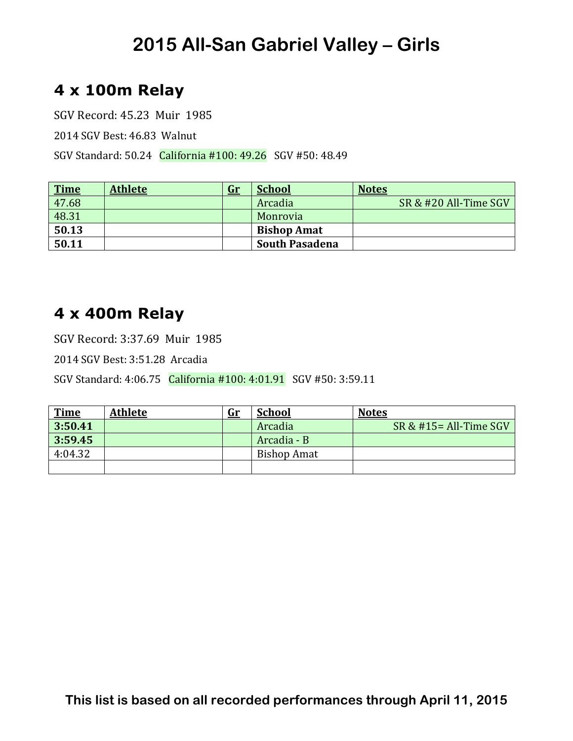## **4 x 100m Relay**

SGV Record: 45.23 Muir 1985

2014 SGV Best: 46.83 Walnut 

SGV Standard: 50.24 California #100: 49.26 SGV #50: 48.49

| <b>Time</b> | <b>Athlete</b> | <u>Gr</u> | <b>School</b>         | <b>Notes</b>          |
|-------------|----------------|-----------|-----------------------|-----------------------|
| 47.68       |                |           | Arcadia               | SR & #20 All-Time SGV |
| 48.31       |                |           | Monrovia              |                       |
| 50.13       |                |           | <b>Bishop Amat</b>    |                       |
| 50.11       |                |           | <b>South Pasadena</b> |                       |

### **4 x 400m Relay**

SGV Record: 3:37.69 Muir 1985

2014 SGV Best: 3:51.28 Arcadia 

SGV Standard: 4:06.75 California #100: 4:01.91 SGV #50: 3:59.11

| $\frac{Time}{3:50.41}$ | <b>Athlete</b> | <u>Gr</u> | <b>School</b>      | <b>Notes</b>              |
|------------------------|----------------|-----------|--------------------|---------------------------|
|                        |                |           | Arcadia            | $SR & #15 = All-Time SGV$ |
| 3:59.45                |                |           | Arcadia - B        |                           |
| 4:04.32                |                |           | <b>Bishop Amat</b> |                           |
|                        |                |           |                    |                           |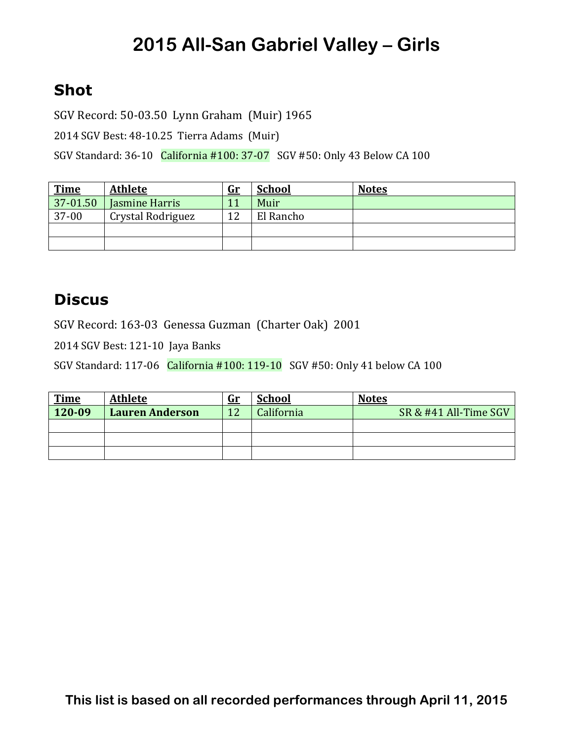## **Shot**

SGV Record: 50-03.50 Lynn Graham (Muir) 1965

2014 SGV Best: 48-10.25 Tierra Adams (Muir)

SGV Standard: 36-10 California #100: 37-07 SGV #50: Only 43 Below CA 100

| <b>Time</b> | <b>Athlete</b>    | <u>Gr</u> | <b>School</b> | <b>Notes</b> |
|-------------|-------------------|-----------|---------------|--------------|
| 37-01.50    | Jasmine Harris    |           | Muir          |              |
| $37-00$     | Crystal Rodriguez | 12        | El Rancho     |              |
|             |                   |           |               |              |
|             |                   |           |               |              |

#### **Discus**

SGV Record: 163-03 Genessa Guzman (Charter Oak) 2001

2014 SGV Best: 121-10 Jaya Banks

SGV Standard: 117-06 California #100: 119-10 SGV #50: Only 41 below CA 100

| <b>Time</b> | <b>Athlete</b>         | <u>Gr</u> | <b>School</b> | <b>Notes</b>          |
|-------------|------------------------|-----------|---------------|-----------------------|
| 120-09      | <b>Lauren Anderson</b> | 12        | California    | SR & #41 All-Time SGV |
|             |                        |           |               |                       |
|             |                        |           |               |                       |
|             |                        |           |               |                       |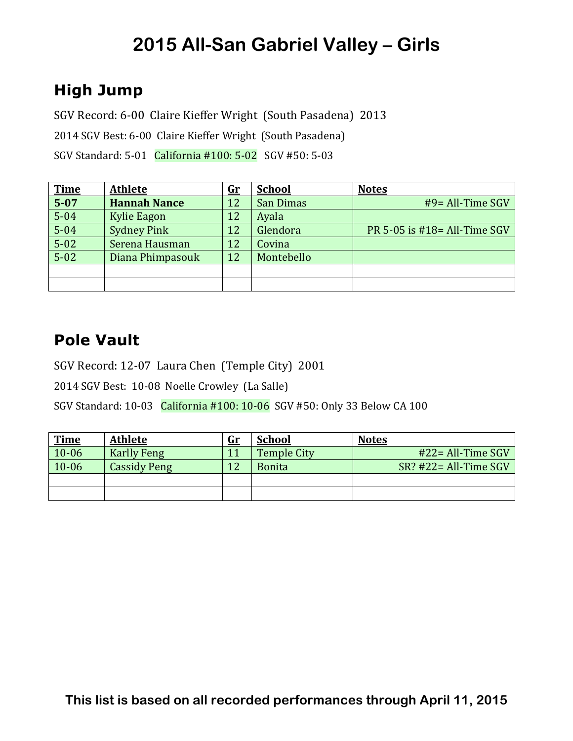## **High Jump**

SGV Record: 6-00 Claire Kieffer Wright (South Pasadena) 2013

2014 SGV Best: 6-00 Claire Kieffer Wright (South Pasadena)

SGV Standard: 5-01 California #100: 5-02 SGV #50: 5-03

| <b>Time</b> | <b>Athlete</b>      | $\mathbf{G}\mathbf{r}$ | <b>School</b> | <b>Notes</b>                    |
|-------------|---------------------|------------------------|---------------|---------------------------------|
| $5 - 07$    | <b>Hannah Nance</b> | 12                     | San Dimas     | #9= All-Time SGV                |
| $5 - 04$    | Kylie Eagon         | 12                     | Ayala         |                                 |
| $5 - 04$    | <b>Sydney Pink</b>  | 12                     | Glendora      | PR 5-05 is $#18 = All-Time SGV$ |
| $5 - 02$    | Serena Hausman      | 12                     | Covina        |                                 |
| $5 - 02$    | Diana Phimpasouk    | 12                     | Montebello    |                                 |
|             |                     |                        |               |                                 |
|             |                     |                        |               |                                 |

### **Pole Vault**

SGV Record: 12-07 Laura Chen (Temple City) 2001

2014 SGV Best: 10-08 Noelle Crowley (La Salle)

SGV Standard:  $10-03$  California  $\#100:10-06$  SGV  $\#50:$  Only 33 Below CA 100

| <b>Time</b> | <b>Athlete</b>      | <u>Gr</u> | <b>School</b>      | <b>Notes</b>              |
|-------------|---------------------|-----------|--------------------|---------------------------|
| $10 - 06$   | <b>Karlly Feng</b>  |           | <b>Temple City</b> | $#22 = All-Time SGV$      |
| $10 - 06$   | <b>Cassidy Peng</b> | 12        | <b>Bonita</b>      | $SR$ ? #22 = All-Time SGV |
|             |                     |           |                    |                           |
|             |                     |           |                    |                           |